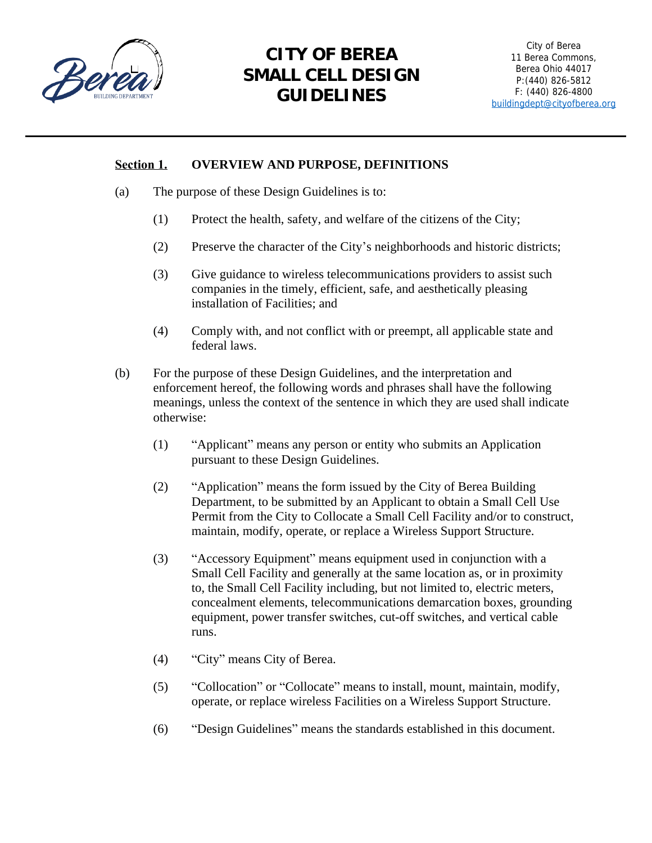

# **CITY OF BEREA SMALL CELL DESIGN GUIDELINES**

# **Section 1. OVERVIEW AND PURPOSE, DEFINITIONS**

- (a) The purpose of these Design Guidelines is to:
	- (1) Protect the health, safety, and welfare of the citizens of the City;
	- (2) Preserve the character of the City's neighborhoods and historic districts;
	- (3) Give guidance to wireless telecommunications providers to assist such companies in the timely, efficient, safe, and aesthetically pleasing installation of Facilities; and
	- (4) Comply with, and not conflict with or preempt, all applicable state and federal laws.
- (b) For the purpose of these Design Guidelines, and the interpretation and enforcement hereof, the following words and phrases shall have the following meanings, unless the context of the sentence in which they are used shall indicate otherwise:
	- (1) "Applicant" means any person or entity who submits an Application pursuant to these Design Guidelines.
	- (2) "Application" means the form issued by the City of Berea Building Department, to be submitted by an Applicant to obtain a Small Cell Use Permit from the City to Collocate a Small Cell Facility and/or to construct, maintain, modify, operate, or replace a Wireless Support Structure.
	- (3) "Accessory Equipment" means equipment used in conjunction with a Small Cell Facility and generally at the same location as, or in proximity to, the Small Cell Facility including, but not limited to, electric meters, concealment elements, telecommunications demarcation boxes, grounding equipment, power transfer switches, cut-off switches, and vertical cable runs.
	- (4) "City" means City of Berea.
	- (5) "Collocation" or "Collocate" means to install, mount, maintain, modify, operate, or replace wireless Facilities on a Wireless Support Structure.
	- (6) "Design Guidelines" means the standards established in this document.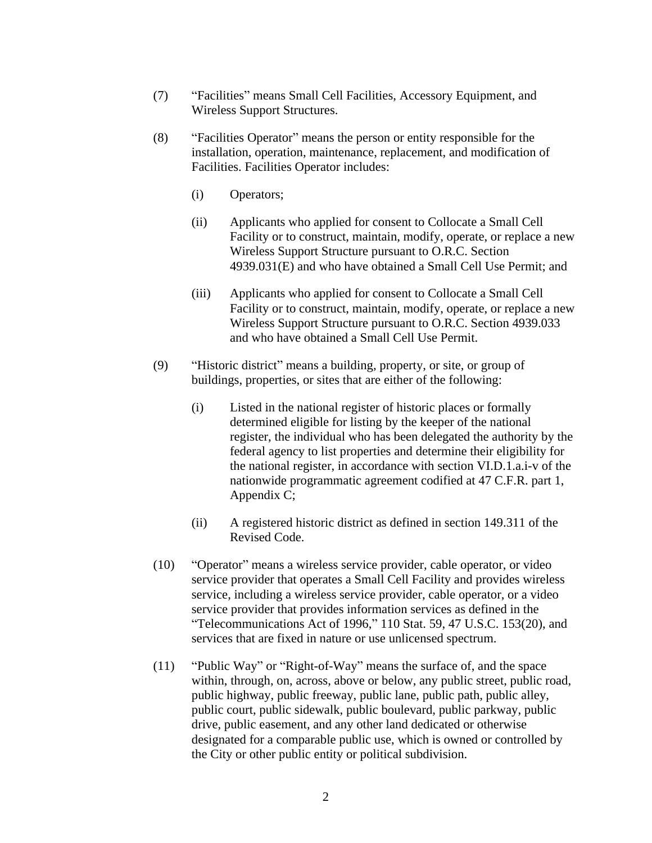- (7) "Facilities" means Small Cell Facilities, Accessory Equipment, and Wireless Support Structures.
- (8) "Facilities Operator" means the person or entity responsible for the installation, operation, maintenance, replacement, and modification of Facilities. Facilities Operator includes:
	- (i) Operators;
	- (ii) Applicants who applied for consent to Collocate a Small Cell Facility or to construct, maintain, modify, operate, or replace a new Wireless Support Structure pursuant to O.R.C. Section 4939.031(E) and who have obtained a Small Cell Use Permit; and
	- (iii) Applicants who applied for consent to Collocate a Small Cell Facility or to construct, maintain, modify, operate, or replace a new Wireless Support Structure pursuant to O.R.C. Section 4939.033 and who have obtained a Small Cell Use Permit.
- (9) "Historic district" means a building, property, or site, or group of buildings, properties, or sites that are either of the following:
	- (i) Listed in the national register of historic places or formally determined eligible for listing by the keeper of the national register, the individual who has been delegated the authority by the federal agency to list properties and determine their eligibility for the national register, in accordance with section VI.D.1.a.i-v of the nationwide programmatic agreement codified at 47 C.F.R. part 1, Appendix C;
	- (ii) A registered historic district as defined in section 149.311 of the Revised Code.
- (10) "Operator" means a wireless service provider, cable operator, or video service provider that operates a Small Cell Facility and provides wireless service, including a wireless service provider, cable operator, or a video service provider that provides information services as defined in the "Telecommunications Act of 1996," 110 Stat. 59, 47 U.S.C. 153(20), and services that are fixed in nature or use unlicensed spectrum.
- (11) "Public Way" or "Right-of-Way" means the surface of, and the space within, through, on, across, above or below, any public street, public road, public highway, public freeway, public lane, public path, public alley, public court, public sidewalk, public boulevard, public parkway, public drive, public easement, and any other land dedicated or otherwise designated for a comparable public use, which is owned or controlled by the City or other public entity or political subdivision.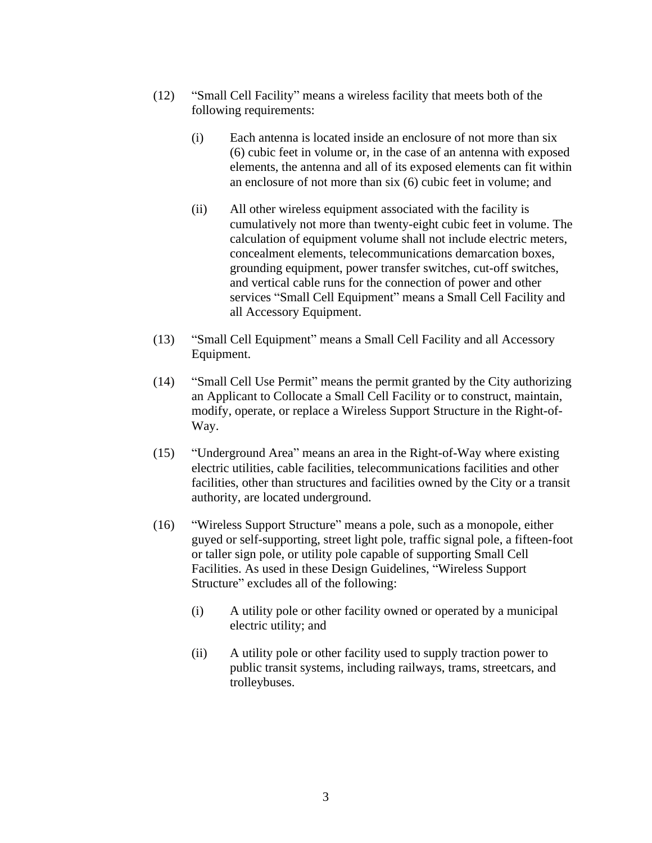- (12) "Small Cell Facility" means a wireless facility that meets both of the following requirements:
	- (i) Each antenna is located inside an enclosure of not more than six (6) cubic feet in volume or, in the case of an antenna with exposed elements, the antenna and all of its exposed elements can fit within an enclosure of not more than six (6) cubic feet in volume; and
	- (ii) All other wireless equipment associated with the facility is cumulatively not more than twenty-eight cubic feet in volume. The calculation of equipment volume shall not include electric meters, concealment elements, telecommunications demarcation boxes, grounding equipment, power transfer switches, cut-off switches, and vertical cable runs for the connection of power and other services "Small Cell Equipment" means a Small Cell Facility and all Accessory Equipment.
- (13) "Small Cell Equipment" means a Small Cell Facility and all Accessory Equipment.
- (14) "Small Cell Use Permit" means the permit granted by the City authorizing an Applicant to Collocate a Small Cell Facility or to construct, maintain, modify, operate, or replace a Wireless Support Structure in the Right-of-Way.
- (15) "Underground Area" means an area in the Right-of-Way where existing electric utilities, cable facilities, telecommunications facilities and other facilities, other than structures and facilities owned by the City or a transit authority, are located underground.
- (16) "Wireless Support Structure" means a pole, such as a monopole, either guyed or self-supporting, street light pole, traffic signal pole, a fifteen-foot or taller sign pole, or utility pole capable of supporting Small Cell Facilities. As used in these Design Guidelines, "Wireless Support Structure" excludes all of the following:
	- (i) A utility pole or other facility owned or operated by a municipal electric utility; and
	- (ii) A utility pole or other facility used to supply traction power to public transit systems, including railways, trams, streetcars, and trolleybuses.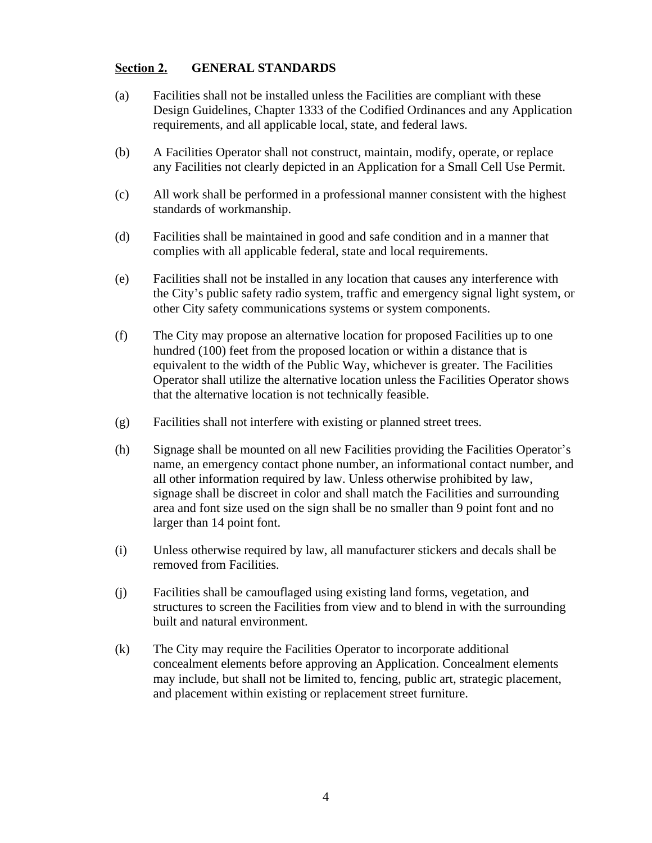## **Section 2. GENERAL STANDARDS**

- (a) Facilities shall not be installed unless the Facilities are compliant with these Design Guidelines, Chapter 1333 of the Codified Ordinances and any Application requirements, and all applicable local, state, and federal laws.
- (b) A Facilities Operator shall not construct, maintain, modify, operate, or replace any Facilities not clearly depicted in an Application for a Small Cell Use Permit.
- (c) All work shall be performed in a professional manner consistent with the highest standards of workmanship.
- (d) Facilities shall be maintained in good and safe condition and in a manner that complies with all applicable federal, state and local requirements.
- (e) Facilities shall not be installed in any location that causes any interference with the City's public safety radio system, traffic and emergency signal light system, or other City safety communications systems or system components.
- (f) The City may propose an alternative location for proposed Facilities up to one hundred (100) feet from the proposed location or within a distance that is equivalent to the width of the Public Way, whichever is greater. The Facilities Operator shall utilize the alternative location unless the Facilities Operator shows that the alternative location is not technically feasible.
- (g) Facilities shall not interfere with existing or planned street trees.
- (h) Signage shall be mounted on all new Facilities providing the Facilities Operator's name, an emergency contact phone number, an informational contact number, and all other information required by law. Unless otherwise prohibited by law, signage shall be discreet in color and shall match the Facilities and surrounding area and font size used on the sign shall be no smaller than 9 point font and no larger than 14 point font.
- (i) Unless otherwise required by law, all manufacturer stickers and decals shall be removed from Facilities.
- (j) Facilities shall be camouflaged using existing land forms, vegetation, and structures to screen the Facilities from view and to blend in with the surrounding built and natural environment.
- (k) The City may require the Facilities Operator to incorporate additional concealment elements before approving an Application. Concealment elements may include, but shall not be limited to, fencing, public art, strategic placement, and placement within existing or replacement street furniture.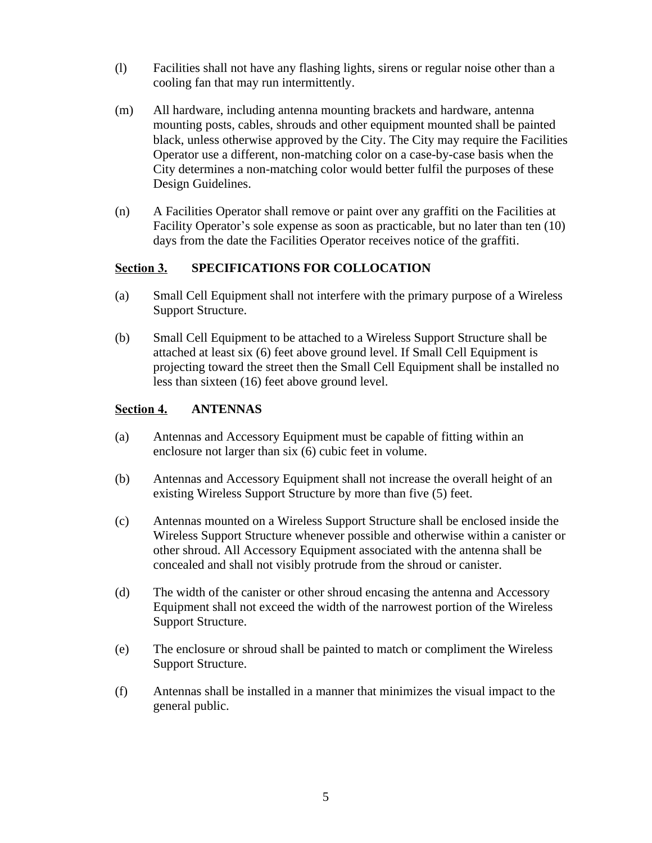- (l) Facilities shall not have any flashing lights, sirens or regular noise other than a cooling fan that may run intermittently.
- (m) All hardware, including antenna mounting brackets and hardware, antenna mounting posts, cables, shrouds and other equipment mounted shall be painted black, unless otherwise approved by the City. The City may require the Facilities Operator use a different, non-matching color on a case-by-case basis when the City determines a non-matching color would better fulfil the purposes of these Design Guidelines.
- (n) A Facilities Operator shall remove or paint over any graffiti on the Facilities at Facility Operator's sole expense as soon as practicable, but no later than ten (10) days from the date the Facilities Operator receives notice of the graffiti.

## **Section 3. SPECIFICATIONS FOR COLLOCATION**

- (a) Small Cell Equipment shall not interfere with the primary purpose of a Wireless Support Structure.
- (b) Small Cell Equipment to be attached to a Wireless Support Structure shall be attached at least six (6) feet above ground level. If Small Cell Equipment is projecting toward the street then the Small Cell Equipment shall be installed no less than sixteen (16) feet above ground level.

# **Section 4. ANTENNAS**

- (a) Antennas and Accessory Equipment must be capable of fitting within an enclosure not larger than six (6) cubic feet in volume.
- (b) Antennas and Accessory Equipment shall not increase the overall height of an existing Wireless Support Structure by more than five (5) feet.
- (c) Antennas mounted on a Wireless Support Structure shall be enclosed inside the Wireless Support Structure whenever possible and otherwise within a canister or other shroud. All Accessory Equipment associated with the antenna shall be concealed and shall not visibly protrude from the shroud or canister.
- (d) The width of the canister or other shroud encasing the antenna and Accessory Equipment shall not exceed the width of the narrowest portion of the Wireless Support Structure.
- (e) The enclosure or shroud shall be painted to match or compliment the Wireless Support Structure.
- (f) Antennas shall be installed in a manner that minimizes the visual impact to the general public.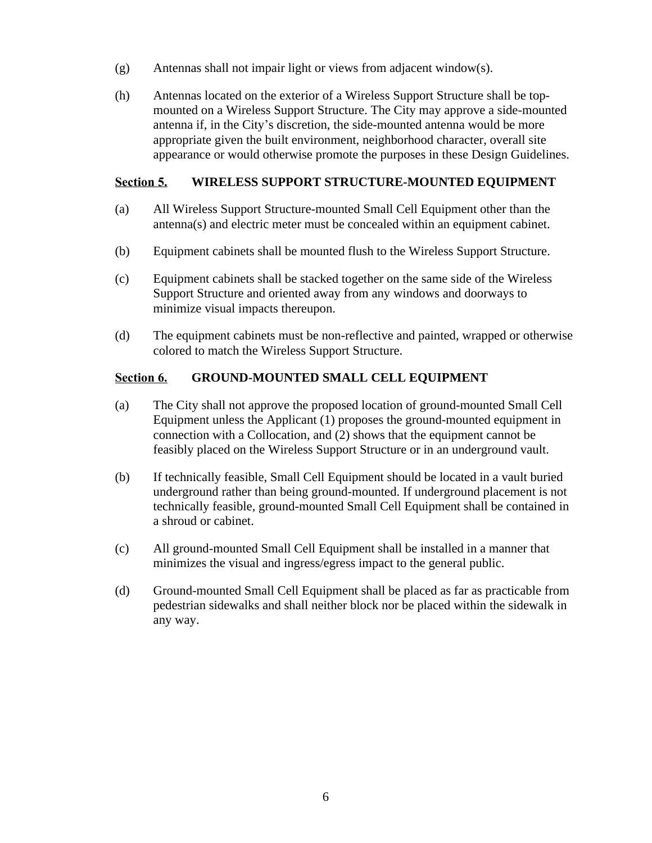- (g) Antennas shall not impair light or views from adjacent window(s).
- (h) Antennas located on the exterior of a Wireless Support Structure shall be topmounted on a Wireless Support Structure. The City may approve a side-mounted antenna if, in the City's discretion, the side-mounted antenna would be more appropriate given the built environment, neighborhood character, overall site appearance or would otherwise promote the purposes in these Design Guidelines.

#### **Section 5. WIRELESS SUPPORT STRUCTURE-MOUNTED EQUIPMENT**

- (a) All Wireless Support Structure-mounted Small Cell Equipment other than the antenna(s) and electric meter must be concealed within an equipment cabinet.
- (b) Equipment cabinets shall be mounted flush to the Wireless Support Structure.
- (c) Equipment cabinets shall be stacked together on the same side of the Wireless Support Structure and oriented away from any windows and doorways to minimize visual impacts thereupon.
- (d) The equipment cabinets must be non-reflective and painted, wrapped or otherwise colored to match the Wireless Support Structure.

## **Section 6. GROUND-MOUNTED SMALL CELL EQUIPMENT**

- (a) The City shall not approve the proposed location of ground-mounted Small Cell Equipment unless the Applicant (1) proposes the ground-mounted equipment in connection with a Collocation, and (2) shows that the equipment cannot be feasibly placed on the Wireless Support Structure or in an underground vault.
- (b) If technically feasible, Small Cell Equipment should be located in a vault buried underground rather than being ground-mounted. If underground placement is not technically feasible, ground-mounted Small Cell Equipment shall be contained in a shroud or cabinet.
- (c) All ground-mounted Small Cell Equipment shall be installed in a manner that minimizes the visual and ingress/egress impact to the general public.
- (d) Ground-mounted Small Cell Equipment shall be placed as far as practicable from pedestrian sidewalks and shall neither block nor be placed within the sidewalk in any way.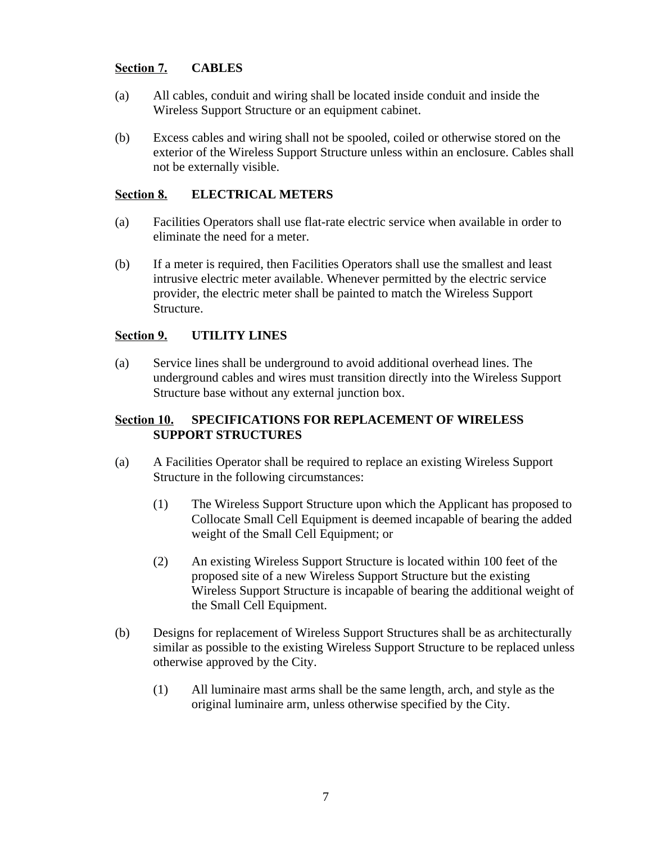## **Section 7. CABLES**

- (a) All cables, conduit and wiring shall be located inside conduit and inside the Wireless Support Structure or an equipment cabinet.
- (b) Excess cables and wiring shall not be spooled, coiled or otherwise stored on the exterior of the Wireless Support Structure unless within an enclosure. Cables shall not be externally visible.

#### **Section 8. ELECTRICAL METERS**

- (a) Facilities Operators shall use flat-rate electric service when available in order to eliminate the need for a meter.
- (b) If a meter is required, then Facilities Operators shall use the smallest and least intrusive electric meter available. Whenever permitted by the electric service provider, the electric meter shall be painted to match the Wireless Support Structure.

### **Section 9. UTILITY LINES**

(a) Service lines shall be underground to avoid additional overhead lines. The underground cables and wires must transition directly into the Wireless Support Structure base without any external junction box.

# **Section 10. SPECIFICATIONS FOR REPLACEMENT OF WIRELESS SUPPORT STRUCTURES**

- (a) A Facilities Operator shall be required to replace an existing Wireless Support Structure in the following circumstances:
	- (1) The Wireless Support Structure upon which the Applicant has proposed to Collocate Small Cell Equipment is deemed incapable of bearing the added weight of the Small Cell Equipment; or
	- (2) An existing Wireless Support Structure is located within 100 feet of the proposed site of a new Wireless Support Structure but the existing Wireless Support Structure is incapable of bearing the additional weight of the Small Cell Equipment.
- (b) Designs for replacement of Wireless Support Structures shall be as architecturally similar as possible to the existing Wireless Support Structure to be replaced unless otherwise approved by the City.
	- (1) All luminaire mast arms shall be the same length, arch, and style as the original luminaire arm, unless otherwise specified by the City.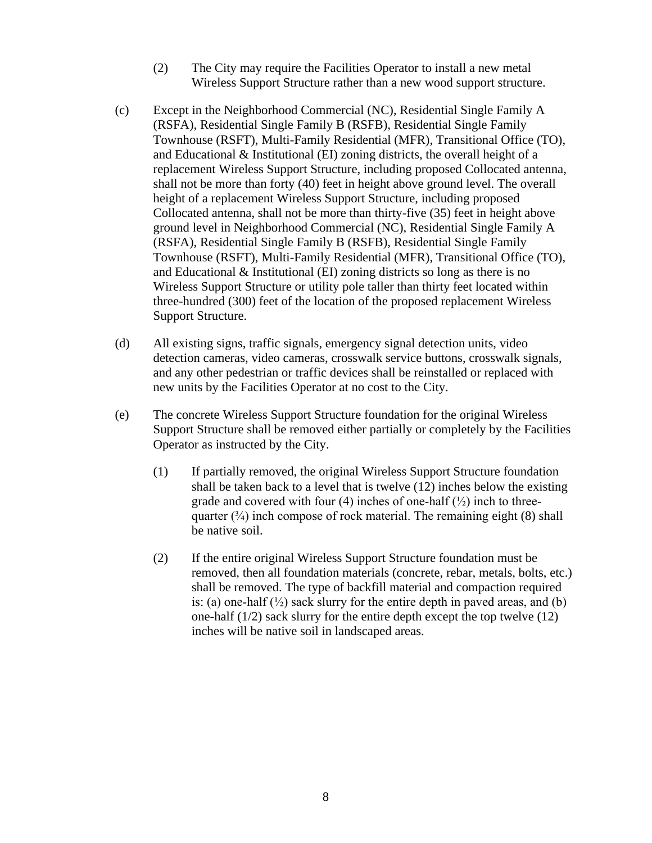- (2) The City may require the Facilities Operator to install a new metal Wireless Support Structure rather than a new wood support structure.
- (c) Except in the Neighborhood Commercial (NC), Residential Single Family A (RSFA), Residential Single Family B (RSFB), Residential Single Family Townhouse (RSFT), Multi-Family Residential (MFR), Transitional Office (TO), and Educational & Institutional (EI) zoning districts, the overall height of a replacement Wireless Support Structure, including proposed Collocated antenna, shall not be more than forty (40) feet in height above ground level. The overall height of a replacement Wireless Support Structure, including proposed Collocated antenna, shall not be more than thirty-five (35) feet in height above ground level in Neighborhood Commercial (NC), Residential Single Family A (RSFA), Residential Single Family B (RSFB), Residential Single Family Townhouse (RSFT), Multi-Family Residential (MFR), Transitional Office (TO), and Educational & Institutional (EI) zoning districts so long as there is no Wireless Support Structure or utility pole taller than thirty feet located within three-hundred (300) feet of the location of the proposed replacement Wireless Support Structure.
- (d) All existing signs, traffic signals, emergency signal detection units, video detection cameras, video cameras, crosswalk service buttons, crosswalk signals, and any other pedestrian or traffic devices shall be reinstalled or replaced with new units by the Facilities Operator at no cost to the City.
- (e) The concrete Wireless Support Structure foundation for the original Wireless Support Structure shall be removed either partially or completely by the Facilities Operator as instructed by the City.
	- (1) If partially removed, the original Wireless Support Structure foundation shall be taken back to a level that is twelve (12) inches below the existing grade and covered with four (4) inches of one-half  $(\frac{1}{2})$  inch to threequarter  $(\frac{3}{4})$  inch compose of rock material. The remaining eight (8) shall be native soil.
	- (2) If the entire original Wireless Support Structure foundation must be removed, then all foundation materials (concrete, rebar, metals, bolts, etc.) shall be removed. The type of backfill material and compaction required is: (a) one-half  $\binom{1}{2}$  sack slurry for the entire depth in paved areas, and (b) one-half  $(1/2)$  sack slurry for the entire depth except the top twelve  $(12)$ inches will be native soil in landscaped areas.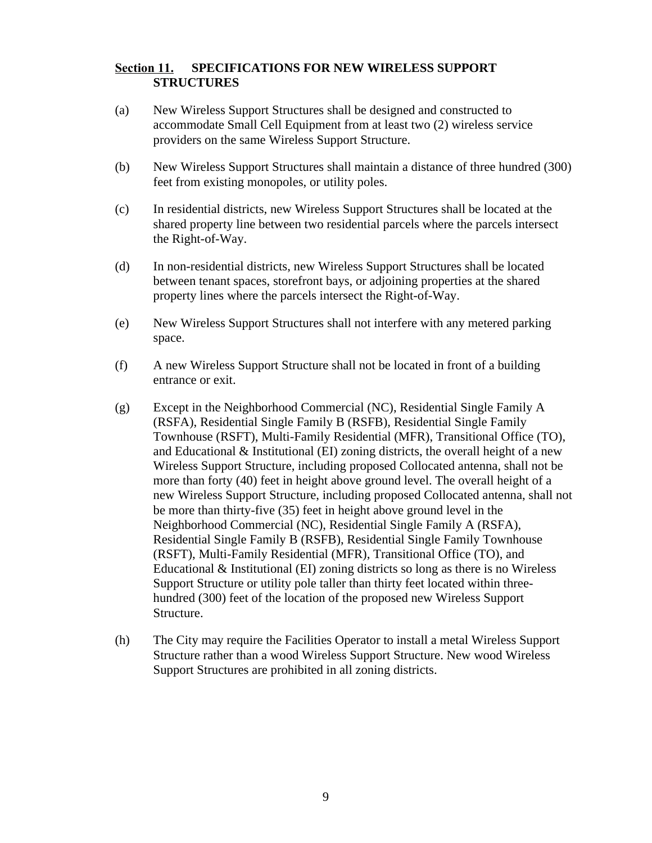#### **Section 11. SPECIFICATIONS FOR NEW WIRELESS SUPPORT STRUCTURES**

- (a) New Wireless Support Structures shall be designed and constructed to accommodate Small Cell Equipment from at least two (2) wireless service providers on the same Wireless Support Structure.
- (b) New Wireless Support Structures shall maintain a distance of three hundred (300) feet from existing monopoles, or utility poles.
- (c) In residential districts, new Wireless Support Structures shall be located at the shared property line between two residential parcels where the parcels intersect the Right-of-Way.
- (d) In non-residential districts, new Wireless Support Structures shall be located between tenant spaces, storefront bays, or adjoining properties at the shared property lines where the parcels intersect the Right-of-Way.
- (e) New Wireless Support Structures shall not interfere with any metered parking space.
- (f) A new Wireless Support Structure shall not be located in front of a building entrance or exit.
- (g) Except in the Neighborhood Commercial (NC), Residential Single Family A (RSFA), Residential Single Family B (RSFB), Residential Single Family Townhouse (RSFT), Multi-Family Residential (MFR), Transitional Office (TO), and Educational  $\&$  Institutional (EI) zoning districts, the overall height of a new Wireless Support Structure, including proposed Collocated antenna, shall not be more than forty (40) feet in height above ground level. The overall height of a new Wireless Support Structure, including proposed Collocated antenna, shall not be more than thirty-five (35) feet in height above ground level in the Neighborhood Commercial (NC), Residential Single Family A (RSFA), Residential Single Family B (RSFB), Residential Single Family Townhouse (RSFT), Multi-Family Residential (MFR), Transitional Office (TO), and Educational & Institutional (EI) zoning districts so long as there is no Wireless Support Structure or utility pole taller than thirty feet located within threehundred (300) feet of the location of the proposed new Wireless Support Structure.
- (h) The City may require the Facilities Operator to install a metal Wireless Support Structure rather than a wood Wireless Support Structure. New wood Wireless Support Structures are prohibited in all zoning districts.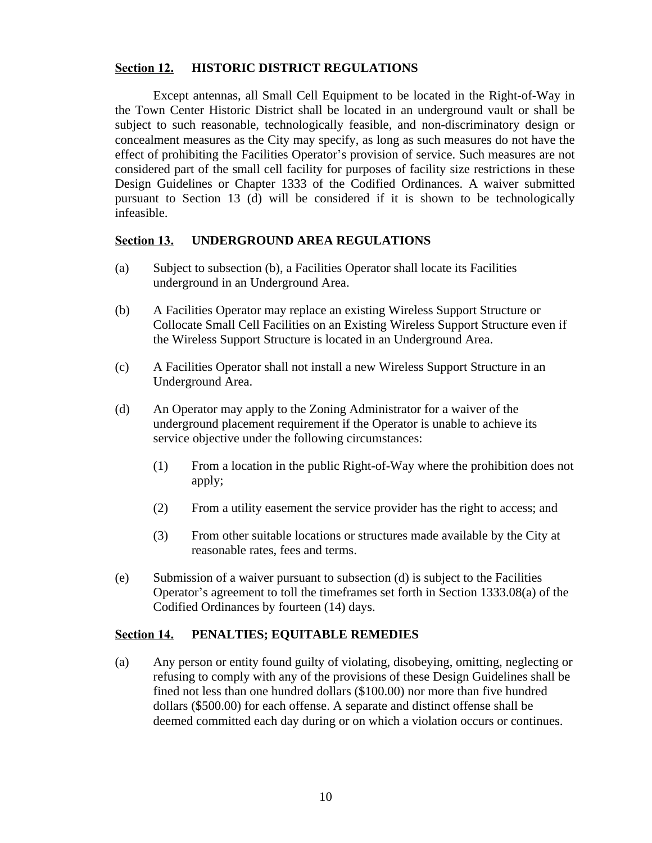#### **Section 12. HISTORIC DISTRICT REGULATIONS**

Except antennas, all Small Cell Equipment to be located in the Right-of-Way in the Town Center Historic District shall be located in an underground vault or shall be subject to such reasonable, technologically feasible, and non-discriminatory design or concealment measures as the City may specify, as long as such measures do not have the effect of prohibiting the Facilities Operator's provision of service. Such measures are not considered part of the small cell facility for purposes of facility size restrictions in these Design Guidelines or Chapter 1333 of the Codified Ordinances. A waiver submitted pursuant to Section 13 (d) will be considered if it is shown to be technologically infeasible.

#### **Section 13. UNDERGROUND AREA REGULATIONS**

- (a) Subject to subsection (b), a Facilities Operator shall locate its Facilities underground in an Underground Area.
- (b) A Facilities Operator may replace an existing Wireless Support Structure or Collocate Small Cell Facilities on an Existing Wireless Support Structure even if the Wireless Support Structure is located in an Underground Area.
- (c) A Facilities Operator shall not install a new Wireless Support Structure in an Underground Area.
- (d) An Operator may apply to the Zoning Administrator for a waiver of the underground placement requirement if the Operator is unable to achieve its service objective under the following circumstances:
	- (1) From a location in the public Right-of-Way where the prohibition does not apply;
	- (2) From a utility easement the service provider has the right to access; and
	- (3) From other suitable locations or structures made available by the City at reasonable rates, fees and terms.
- (e) Submission of a waiver pursuant to subsection (d) is subject to the Facilities Operator's agreement to toll the timeframes set forth in Section 1333.08(a) of the Codified Ordinances by fourteen (14) days.

#### **Section 14. PENALTIES; EQUITABLE REMEDIES**

(a) Any person or entity found guilty of violating, disobeying, omitting, neglecting or refusing to comply with any of the provisions of these Design Guidelines shall be fined not less than one hundred dollars (\$100.00) nor more than five hundred dollars (\$500.00) for each offense. A separate and distinct offense shall be deemed committed each day during or on which a violation occurs or continues.